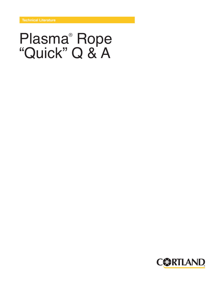# Plasma® Rope "Quick" Q & A

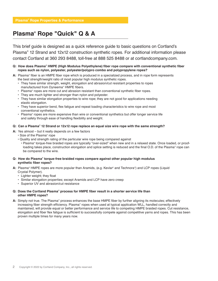# **Plasma® Rope "Quick" Q & A**

This brief guide is designed as a quick reference guide to basic questions on Cortland's Plasma® 12 Strand and 12x12 construction synthetic ropes. For additional information please contact Cortland at 360 293 8488, toll-free at 888 525 8488 or at cortlandcompany.com.

# **Q: How does Plasma® HMPE (High Modulus Polyethylene) fiber rope compare with conventional synthetic fiber ropes such as nylon, polyester, polyester/polypro combo and polypropylene ropes?**

- **A:** Plasma® fiber is an HMPE fiber rope which is produced in a specialized process, and in rope form represents the best strength/weight ratio of most popular high modulus synthetic ropes.
	- They have similar strength, weight, elongation and abrasion/cut resistant properties to ropes manufactured from Dyneema® HMPE fibers.
	- Plasma® ropes are more cut and abrasion resistant than conventional synthetic fiber ropes.
	- They are much lighter and stronger than nylon and polyester.
	- They have similar elongation properties to wire rope; they are not good for applications needing elastic elongation.
	- They have superior bend, flex fatigue and repeat loading characteristics to wire rope and most conventional synthetics.
	- Plasma® ropes are more expensive than wire or conventional synthetics but offer longer service life and safety through ease of handling flexibility and weight.

# **Q: Can a Plasma® 12 Strand or 12x12 rope replace an equal size wire rope with the same strength?**

- **A:** Yes almost but it really depends on a few factors
	- Size of the Plasma® rope
	- Quality and strength rating of the particular wire rope being compared against
	- Plasma® torque-free braided ropes are typically "over-sized" when new and in a relaxed state. Once loaded, or proofloading takes place, construction elongation and splice setting is reduced and the final O.D. of the Plasma® rope can be compared to the wire.

#### **Q: How do Plasma® torque-free braided ropes compare against other popular high modulus synthetic fiber ropes?**

- **A:** Plasma® HMPE ropes are more popular than Aramids, (e.g. Kevlar® and Technora®) and LCP ropes (Liquid Crystal Polymer).
	- Lighter weight; they float
	- Similar elongation properties; except Aramids and LCP have zero creep
	- Superior UV and abrasion/cut resistance

#### **Q: Does the Cortland Plasma® process for HMPE fiber result in a shorter service life than other HMPE ropes?**

**A:** Simply not true. The Plasma® process enhances the base HMPE fiber by further aligning its molecules; effectively increasing fiber strength efficiency. Plasma® ropes when used at typical application WLL, handled correctly and maintained, will provide equal or better performance and service life to competing HMPE braided ropes. Cut resistance, elongation and fiber flex fatigue is sufficient to successfully compete against competitive yarns and ropes. This has been proven multiple times for many years now.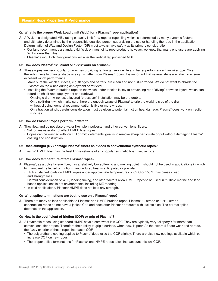# **Plasma® Rope Properties & Performance**

# **Q: What is the proper Work Load Limit (WLL) for a Plasma® rope application?**

- **A:** A WLL is a designated MBL rating capacity limit for a rope or rope sling which is determined by many dynamic factors and ultimately determined by the responsible qualified person supervising the use or handling the rope in the application. Determination of WLL and Design Factor (DF) must always have safety as its primary consideration.
	- Cortland recommends a standard 5:1 WLL on most of its rope products however, we know that many end users are applying WLLs lower than this.
	- Plasma® sling Hitch Configurations will alter the vertical leg published MBL.

#### **Q: How does Plasma® 12 Strand or 12x12 work on a winch?**

- **A:** These ropes are very popular on winches providing far longer service life and better performance than wire rope. Given the willingness to change shape or slightly flatten from Plasma® ropes, it is important that several steps are taken to ensure excellent winch performance.
	- Make sure the winch surfaces, e.g. flanges and barrels, are clean and not rust-corroded. We do not want to abrade the Plasma® on the winch during deployment or retrieval.
	- Installing the Plasma® braided rope on the winch under tension is key to preventing rope "diving" between layers, which can retard or inhibit rope deployment and retrieval.
		- On single drum winches, a layered "crossover" installation may be preferable.
		- On a split-drum winch, make sure there are enough wraps of Plasma® to grip the working side of the drum without slipping; general recommendation is five or more wraps.
		- On a traction winch, careful consideration must be given to potential friction heat damage. Plasma® does work on traction winches.

#### **Q: How do Plasma® ropes perform in water?**

- **A:** They float and do not absorb water like nylon, polyester and other conventional fibers.
	- Salt or seawater do not affect HMPE fiber ropes.
	- Ropes can be washed with low PH or mild detergents; goal is to remove sharp particulate or grit without damaging Plasma® coating and construction.

#### **Q: Does sunlight (UV) damage Plasma® fibers as it does to conventional synthetic ropes?**

**A:** Plasma® HMPE fiber has the best UV resistance of any popular synthetic fiber used in rope.

#### **Q: How does temperature affect Plasma® ropes?**

- A: Plasma® , as a polyethylene fiber, has a relatively low softening and melting point. It should not be used in applications in which high ambient, reflected or friction-manufactured heat is anticipated or prevalent.
	- High sustained loads on HMPE ropes under approximate temperatures of 65°C or 150°F may cause creep and strength loss.
	- Careful consideration of WLL, loading timing, and other factors allow HMPE ropes to be used in multiple marine and landbased applications in hot environments; including ME mooring.
	- In cold applications, Plasma® HMPE does not lose any strength.

#### **Q: What splice terminations are best to use on a Plasma® rope?**

**A:** There are many splices applicable to Plasma® and HMPE braided ropes. Plasma® 12 strand or 12x12 strand construction ropes do not have a jacket; Cortland does offer Plasma® products with jackets also. The correct splice depends on the application.

#### **Q: How is the coefficient of friction (COF) or grip of Plasma® ?**

- **A:** All synthetic ropes using standard HMPE have a somewhat low COF. They are typically very "slippery"; far more than conventional fiber ropes. Therefore their ability to grip a surface, when new, is poor. As the external fibers wear and abrade, the fuzzy exterior of these ropes increases COF.
	- The polyurethane coating applied to Plasma® does raise the COF slightly. There are also new coatings available which can increase COF on new ropes.
	- The proper splice terminations for Plasma® and HMPE ropes takes into account this low COF.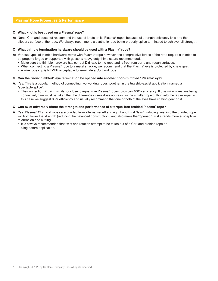# **Plasma® Rope Properties & Performance**

# **Q: What knot is best used on a Plasma® rope?**

**A:** None. Cortland does not recommend the use of knots on its Plasma® ropes because of strength efficiency loss and the slippery surface of the rope. We always recommend a synthetic rope being properly splice terminated to achieve full strength.

# **Q: What thimble termination hardware should be used with a Plasma® rope?**

- **A:** Various types of thimble hardware works with Plasma® rope however, the compressive forces of the rope require a thimble to be properly forged or supported with gussets; heavy duty thimbles are recommended.
	- Make sure the thimble hardware has correct D:d ratio to the rope and is free from burrs and rough surfaces.
	- When connecting a Plasma® rope to a metal shackle, we recommend that the Plasma® eye is protected by chafe gear.
	- A wire rope clip is NEVER acceptable to terminate a Cortland rope.

# **Q: Can the "non-thimbled" eye termination be spliced into another "non-thimbled" Plasma® eye?**

- **A:** Yes. This is a popular method of connecting two working ropes together in the tug ship-assist application; named a "spectacle splice".
	- $\cdot$  The connection, if using similar or close to equal size Plasma® ropes, provides 100% efficiency. If dissimilar sizes are being connected, care must be taken that the difference in size does not result in the smaller rope cutting into the larger rope. In this case we suggest 85% efficiency and usually recommend that one or both of the eyes have chafing gear on it.

#### **Q: Can twist adversely affect the strength and performance of a torque-free braided Plasma® rope?**

- **A:** Yes. Plasma® 12 strand ropes are braided from alternative left and right hand twist "lays". Inducing twist into the braided rope will both lower the strength (reducing the balanced construction), and also make the "opened" twist strands more susceptible to abrasion and cutting.
	- It is always recommended that twist and rotation attempt to be taken out of a Cortland braided rope or sling before application.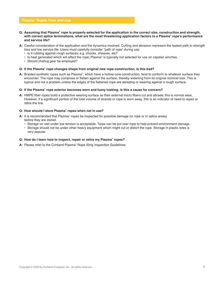# **Plasma® Ropes Care and Use**

- **Q: Assuming that Plasma® rope is properly selected for the application in the correct size, construction and strength, with correct splice terminations, what are the most threatening application factors to a Plasma® rope's performance and service life?**
- **A:** Careful consideration of the application and the dynamics involved. Cutting and abrasion represent the fastest path to strength loss and low service life. Users must carefully consider "path of rope" during use:
	- Is it rubbing against rough surfaces; e.g. chocks, sheaves, etc?
	- $\cdot$  Is heat generated which will affect the rope; Plasma® is typically not selected for use on capstan winches.
	- Should chafing gear be employed?

# **Q: If the Plasma® rope changes shape from original new rope construction, is this bad?**

**A:** Braided synthetic ropes such as Plasma®, which have a hollow core construction, tend to conform to whatever surface they encounter. The rope may compress or flatten against the surface, thereby widening from its original nominal size. This is typical and not a problem unless the edges of the flattened rope are abrading or wearing against a rough surface.

# **Q: If the Plasma® rope exterior becomes worn and fuzzy looking, is this a cause for concern?**

**A:** HMPE fiber ropes build a protective wearing surface as their external micro fibers cut and abrade; this is normal wear. However, if a significant portion of the total volume of strands or rope is worn away, this is an indicator of need to repair or retire the line.

#### **Q: How should I store Plasma® ropes when not in use?**

- **A:** It is recommended that Plasma® ropes be inspected for possible damage (or rope or in splice areas) before they are stored.
	- Storage on reel under low tension is acceptable. Tarps can be put over rope to help prevent environment damage.
	- Storage should not be under other heavy equipment which might cut or distort the rope. Storage in plastic totes is very popular.

#### **Q: How do I learn how to inspect, repair or retire my Plasma® ropes?**

**A:** Please refer to the Cortland Plasma® Rope Sling Inspection Guidelines.